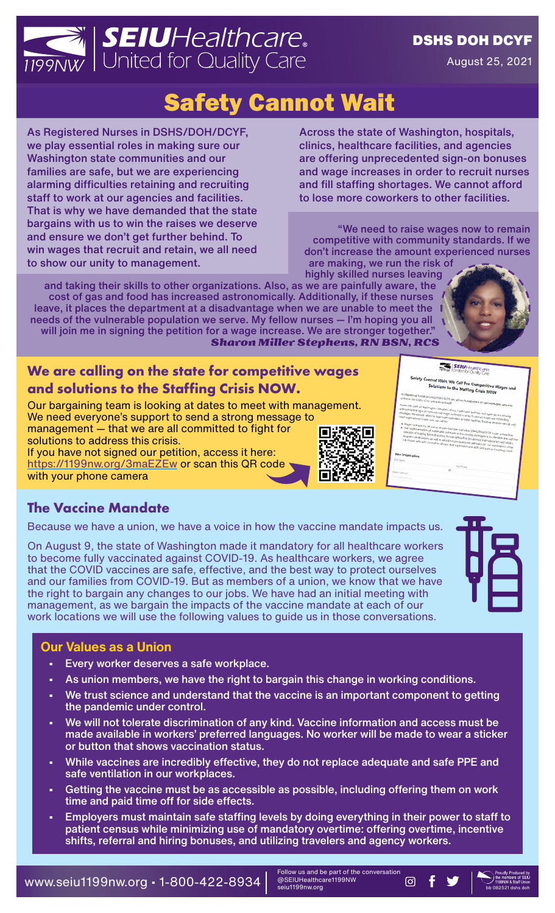

#### DSHS DOH DCYF

August 25, 2021

# Safety Cannot Wait

As Registered Nurses in DSHS/DOH/DCYF, we play essential roles in making sure our Washington state communities and our families are safe, but we are experiencing alarming difficulties retaining and recruiting staff to work at our agencies and facilities. That is why we have demanded that the state bargains with us to win the raises we deserve and ensure we don't get further behind. To win wages that recruit and retain, we all need to show our unity to management.

Across the state of Washington, hospitals, clinics, healthcare facilities, and agencies are offering unprecedented sign-on bonuses and wage increases in order to recruit nurses and fill staffing shortages. We cannot afford to lose more coworkers to other facilities.

"We need to raise wages now to remain competitive with community standards. If we don't increase the amount experienced nurses are making, we run the risk of highly skilled nurses leaving

and taking their skills to other organizations. Also, as we are painfully aware, the cost of gas and food has increased astronomically. Additionally, if these nurses leave, it places the department at a disadvantage when we are unable to meet the needs of the vulnerable population we serve. My fellow nurses — I'm hoping you all will join me in signing the petition for a wage increase. We are stronger together." *Sharon Miller Stephens, RN BSN, RCS*

### **We are calling on the state for competitive wages and solutions to the Staffing Crisis NOW.**

Our bargaining team is looking at dates to meet with management. We need everyone's support to send a strong message to management — that we are all committed to fight for 回数 solutions to address this crisis.

If you have not signed our petition, access it here: <https://1199nw.org/3maEZEw>or scan this QR code with your phone camera



#### **SEIU**Healthcan

Wait: We Call For Co <sup>- Competitive Wages and<br>ng Crisis NOW</sup>

#### **The Vaccine Mandate**

Because we have a union, we have a voice in how the vaccine mandate impacts us.

On August 9, the state of Washington made it mandatory for all healthcare workers to become fully vaccinated against COVID-19. As healthcare workers, we agree that the COVID vaccines are safe, effective, and the best way to protect ourselves and our families from COVID-19. But as members of a union, we know that we have the right to bargain any changes to our jobs. We have had an initial meeting with management, as we bargain the impacts of the vaccine mandate at each of our work locations we will use the following values to guide us in those conversations.



#### **Our Values as a Union**

- Every worker deserves a safe workplace.
- As union members, we have the right to bargain this change in working conditions.
- We trust science and understand that the vaccine is an important component to getting the pandemic under control.
- We will not tolerate discrimination of any kind. Vaccine information and access must be made available in workers' preferred languages. No worker will be made to wear a sticker or button that shows vaccination status.
- While vaccines are incredibly effective, they do not replace adequate and safe PPE and safe ventilation in our workplaces.
- Getting the vaccine must be as accessible as possible, including offering them on work time and paid time off for side effects.
- Employers must maintain safe staffing levels by doing everything in their power to staff to patient census while minimizing use of mandatory overtime: offering overtime, incentive shifts, referral and hiring bonuses, and utilizing travelers and agency workers.

WWW.Seiu1199nw.org • 1-800-422-8934  $\frac{ }{2}$   $\frac{ }{2}$   $\frac{ }{2}$   $\frac{ }{2}$   $\frac{ }{2}$   $\frac{ }{2}$   $\frac{ }{2}$   $\frac{ }{2}$   $\frac{ }{2}$   $\frac{ }{2}$   $\frac{ }{2}$   $\frac{ }{2}$   $\frac{ }{2}$   $\frac{ }{2}$   $\frac{ }{2}$   $\frac{ }{2}$   $\frac{ }{2}$   $\frac{ }{2}$   $\frac{ }$ 

Follow us and be part of the conversation @SEIUHealthcare1199NW seiu1199nw.org